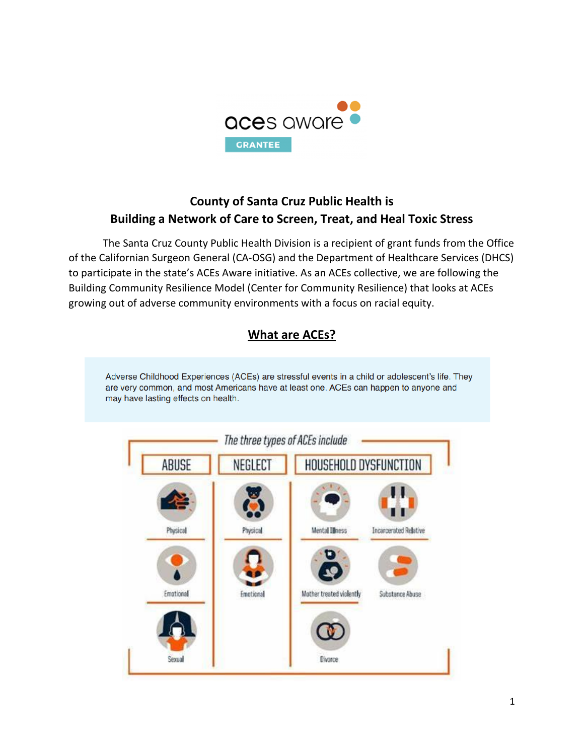

# **County of Santa Cruz Public Health is Building a Network of Care to Screen, Treat, and Heal Toxic Stress**

The Santa Cruz County Public Health Division is a recipient of grant funds from the Office of the Californian Surgeon General (CA-OSG) and the Department of Healthcare Services (DHCS) to participate in the state's ACEs Aware initiative. As an ACEs collective, we are following the Building Community Resilience Model (Center for Community Resilience) that looks at ACEs growing out of adverse community environments with a focus on racial equity.



1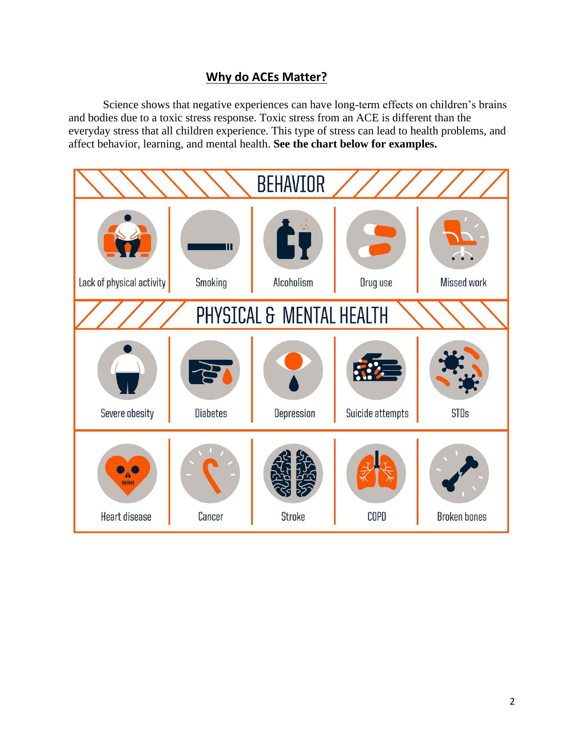#### **Why do ACEs Matter?**

Science shows that negative experiences can have long-term effects on children's brains and bodies due to a toxic stress response. Toxic stress from an ACE is different than the everyday stress that all children experience. This type of stress can lead to health problems, and affect behavior, learning, and mental health. **See the chart below for examples.**

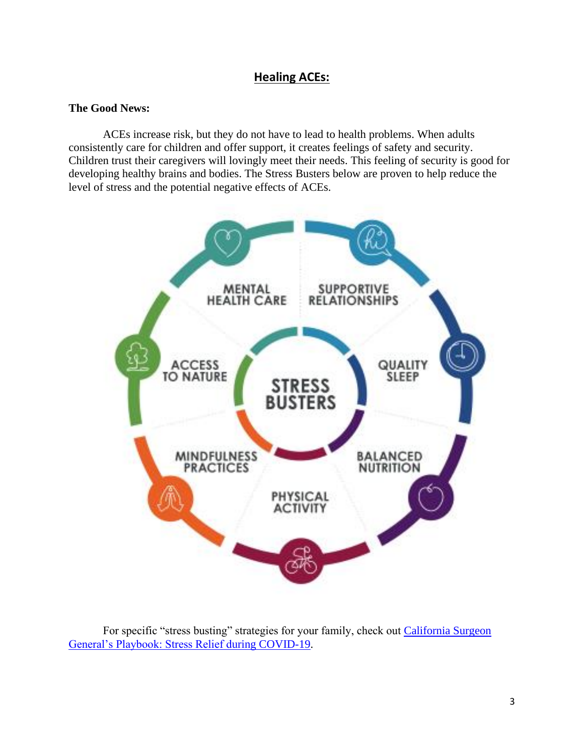#### **Healing ACEs:**

#### **The Good News:**

ACEs increase risk, but they do not have to lead to health problems. When adults consistently care for children and offer support, it creates feelings of safety and security. Children trust their caregivers will lovingly meet their needs. This feeling of security is good for developing healthy brains and bodies. The Stress Busters below are proven to help reduce the level of stress and the potential negative effects of ACEs.



For specific "stress busting" strategies for your family, check out California Surgeon [General's Playbook: Stress Relief during COVID-19.](https://files.covid19.ca.gov/pdf/wp/california-surgeon-general_stress-busting-playbook_draft-v2clean_ada-04072020.pdf)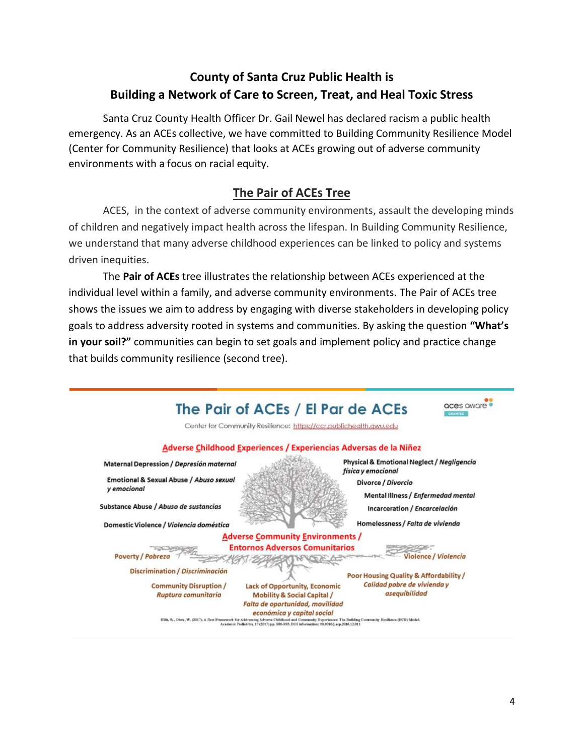# **County of Santa Cruz Public Health is Building a Network of Care to Screen, Treat, and Heal Toxic Stress**

Santa Cruz County Health Officer Dr. Gail Newel has declared racism a public health emergency. As an ACEs collective, we have committed to Building Community Resilience Model (Center for Community Resilience) that looks at ACEs growing out of adverse community environments with a focus on racial equity.

### **The Pair of ACEs Tree**

ACES, in the context of adverse community environments, assault the developing minds of children and negatively impact health across the lifespan. In Building Community Resilience, we understand that many adverse childhood experiences can be linked to policy and systems driven inequities.

The **Pair of ACEs** tree illustrates the relationship between ACEs experienced at the individual level within a family, and adverse community environments. The Pair of ACEs tree shows the issues we aim to address by engaging with diverse stakeholders in developing policy goals to address adversity rooted in systems and communities. By asking the question **"What's in your soil?"** communities can begin to set goals and implement policy and practice change that builds community resilience (second tree).

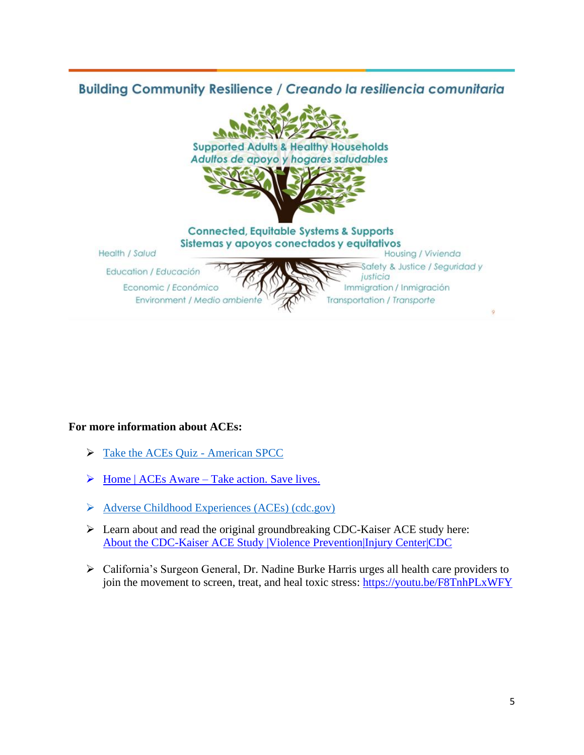# **Building Community Resilience / Creando la resiliencia comunitaria**



#### **For more information about ACEs:**

- ➢ [Take the ACEs Quiz -](https://americanspcc.org/take-the-aces-quiz/) American SPCC
- $\triangleright$  Home | ACEs Aware [Take action. Save lives.](https://www.acesaware.org/)
- ➢ [Adverse Childhood Experiences \(ACEs\) \(cdc.gov\)](https://www.cdc.gov/violenceprevention/aces/index.html)
- ➢ Learn about and read the original groundbreaking CDC-Kaiser ACE study here: [About the CDC-Kaiser ACE Study |Violence Prevention|Injury Center|CDC](https://www.cdc.gov/violenceprevention/aces/about.html?CDC_AA_refVal=https%3A%2F%2Fwww.cdc.gov%2Fviolenceprevention%2Facestudy%2Fabout.html)
- ➢ California's Surgeon General, Dr. Nadine Burke Harris urges all health care providers to join the movement to screen, treat, and heal toxic stress: <https://youtu.be/F8TnhPLxWFY>